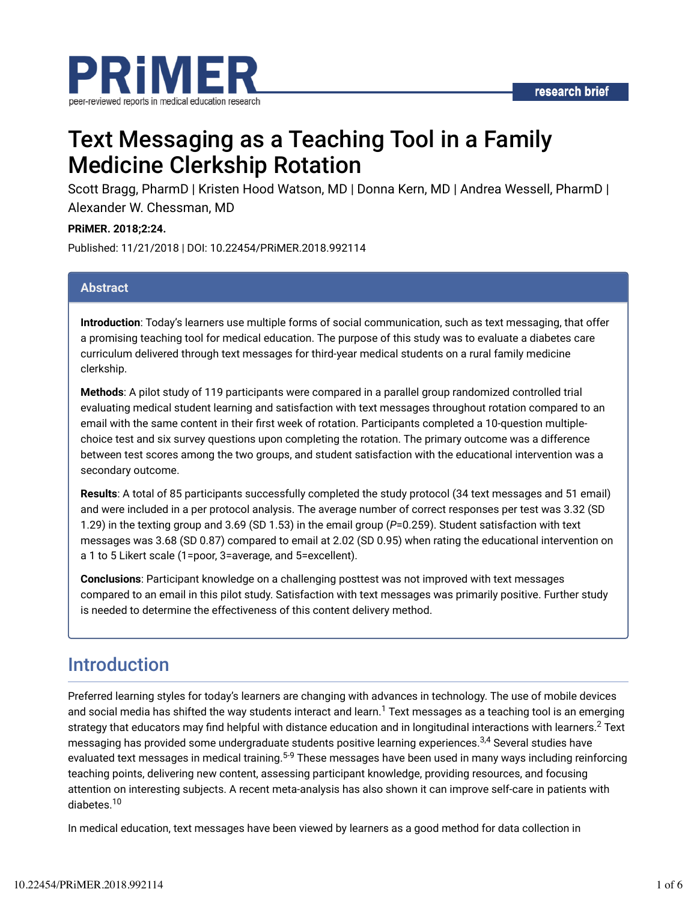

# Text Messaging as a Teaching Tool in a Family Medicine Clerkship Rotation

Scott Bragg, PharmD | Kristen Hood Watson, MD | Donna Kern, MD | Andrea Wessell, PharmD | Alexander W. Chessman, MD

### **PRiMER. 2018;2:24.**

Published: 11/21/2018 | DOI: 10.22454/PRiMER.2018.992114

### **Abstract**

**Introduction**: Today's learners use multiple forms of social communication, such as text messaging, that offer a promising teaching tool for medical education. The purpose of this study was to evaluate a diabetes care curriculum delivered through text messages for third-year medical students on a rural family medicine clerkship.

**Methods**: A pilot study of 119 participants were compared in a parallel group randomized controlled trial evaluating medical student learning and satisfaction with text messages throughout rotation compared to an email with the same content in their first week of rotation. Participants completed a 10-question multiplechoice test and six survey questions upon completing the rotation. The primary outcome was a difference between test scores among the two groups, and student satisfaction with the educational intervention was a secondary outcome.

**Results**: A total of 85 participants successfully completed the study protocol (34 text messages and 51 email) and were included in a per protocol analysis. The average number of correct responses per test was 3.32 (SD 1.29) in the texting group and 3.69 (SD 1.53) in the email group (*P*=0.259). Student satisfaction with text messages was 3.68 (SD 0.87) compared to email at 2.02 (SD 0.95) when rating the educational intervention on a 1 to 5 Likert scale (1=poor, 3=average, and 5=excellent).

**Conclusions**: Participant knowledge on a challenging posttest was not improved with text messages compared to an email in this pilot study. Satisfaction with text messages was primarily positive. Further study is needed to determine the effectiveness of this content delivery method.

## Introduction

Preferred learning styles for today's learners are changing with advances in technology. The use of mobile devices and social media has shifted the way students interact and learn. $^1$  Text messages as a teaching tool is an emerging strategy that educators may find helpful with distance education and in longitudinal interactions with learners. $^2$  Text messaging has provided some undergraduate students positive learning experiences.<sup>3,4</sup> Several studies have evaluated text messages in medical training.<sup>5-9</sup> These messages have been used in many ways including reinforcing teaching points, delivering new content, assessing participant knowledge, providing resources, and focusing attention on interesting subjects. A recent meta-analysis has also shown it can improve self-care in patients with diabetes. 10

In medical education, text messages have been viewed by learners as a good method for data collection in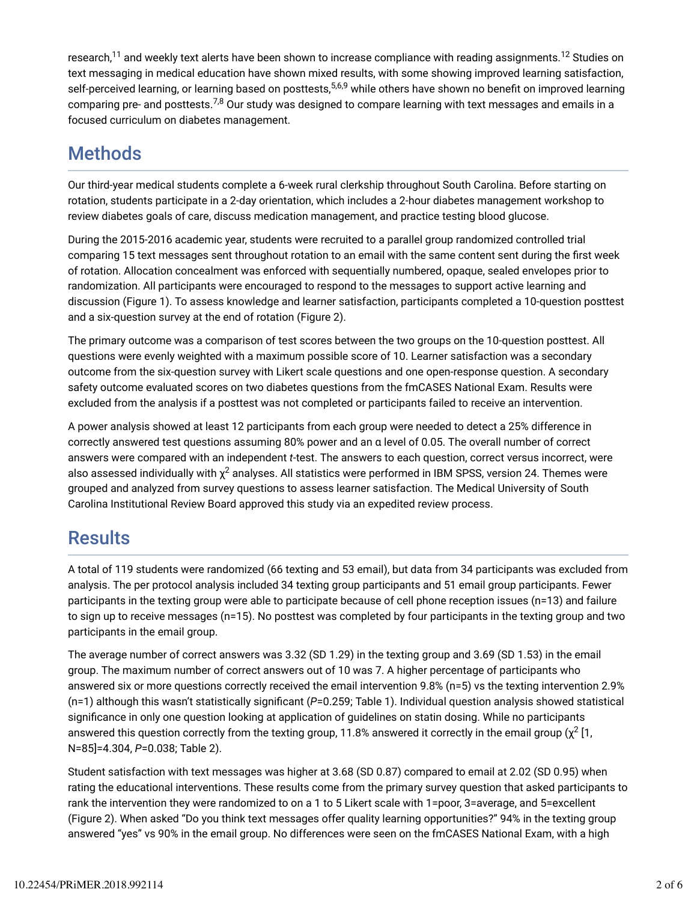research, $^{11}$  and weekly text alerts have been shown to increase compliance with reading assignments. $^{12}$  Studies on text messaging in medical education have shown mixed results, with some showing improved learning satisfaction, self-perceived learning, or learning based on posttests,<sup>5,6,9</sup> while others have shown no benefit on improved learning comparing pre- and posttests. $^{7,8}$  Our study was designed to compare learning with text messages and emails in a focused curriculum on diabetes management.

## **Methods**

Our third-year medical students complete a 6-week rural clerkship throughout South Carolina. Before starting on rotation, students participate in a 2-day orientation, which includes a 2-hour diabetes management workshop to review diabetes goals of care, discuss medication management, and practice testing blood glucose.

During the 2015-2016 academic year, students were recruited to a parallel group randomized controlled trial comparing 15 text messages sent throughout rotation to an email with the same content sent during the first week of rotation. Allocation concealment was enforced with sequentially numbered, opaque, sealed envelopes prior to randomization. All participants were encouraged to respond to the messages to support active learning and discussion (Figure 1). To assess knowledge and learner satisfaction, participants completed a 10-question posttest and a six-question survey at the end of rotation (Figure 2).

The primary outcome was a comparison of test scores between the two groups on the 10-question posttest. All questions were evenly weighted with a maximum possible score of 10. Learner satisfaction was a secondary outcome from the six-question survey with Likert scale questions and one open-response question. A secondary safety outcome evaluated scores on two diabetes questions from the fmCASES National Exam. Results were excluded from the analysis if a posttest was not completed or participants failed to receive an intervention.

A power analysis showed at least 12 participants from each group were needed to detect a 25% difference in correctly answered test questions assuming 80% power and an α level of 0.05. The overall number of correct answers were compared with an independent *t*-test. The answers to each question, correct versus incorrect, were also assessed individually with  $\chi^2$  analyses. All statistics were performed in IBM SPSS, version 24. Themes were grouped and analyzed from survey questions to assess learner satisfaction. The Medical University of South Carolina Institutional Review Board approved this study via an expedited review process.

## **Results**

A total of 119 students were randomized (66 texting and 53 email), but data from 34 participants was excluded from analysis. The per protocol analysis included 34 texting group participants and 51 email group participants. Fewer participants in the texting group were able to participate because of cell phone reception issues (n=13) and failure to sign up to receive messages (n=15). No posttest was completed by four participants in the texting group and two participants in the email group.

The average number of correct answers was 3.32 (SD 1.29) in the texting group and 3.69 (SD 1.53) in the email group. The maximum number of correct answers out of 10 was 7. A higher percentage of participants who answered six or more questions correctly received the email intervention 9.8% (n=5) vs the texting intervention 2.9%  $(n=1)$  although this wasn't statistically significant  $(P=0.259)$ ; Table 1). Individual question analysis showed statistical significance in only one question looking at application of quidelines on statin dosing. While no participants answered this question correctly from the texting group, 11.8% answered it correctly in the email group ( $\chi^2$  [1, N=85]=4.304, *P*=0.038; Table 2).

Student satisfaction with text messages was higher at 3.68 (SD 0.87) compared to email at 2.02 (SD 0.95) when rating the educational interventions. These results come from the primary survey question that asked participants to rank the intervention they were randomized to on a 1 to 5 Likert scale with 1=poor, 3=average, and 5=excellent (Figure 2). When asked "Do you think text messages offer quality learning opportunities?" 94% in the texting group answered "yes" vs 90% in the email group. No differences were seen on the fmCASES National Exam, with a high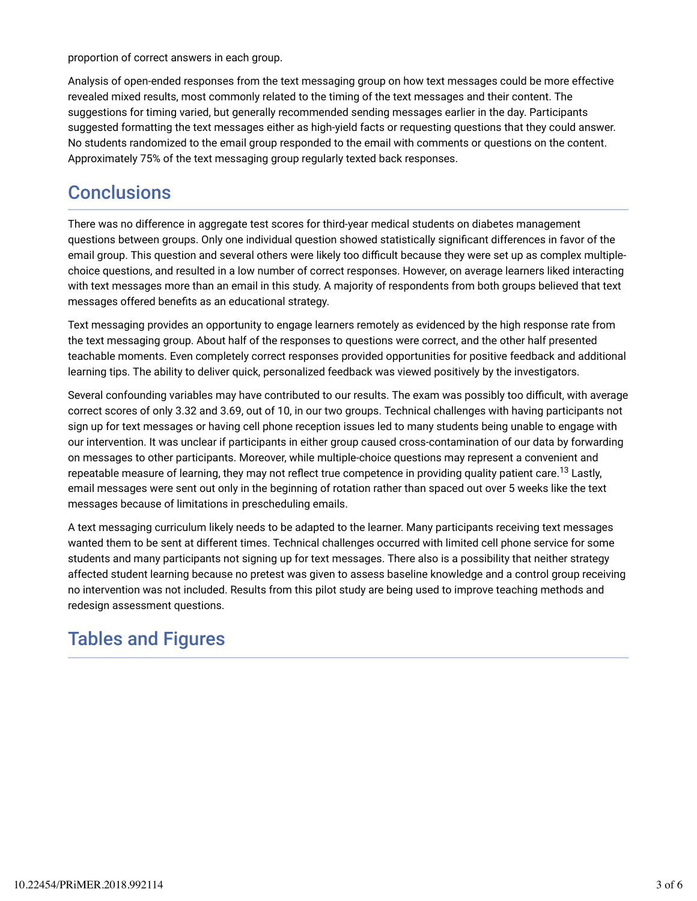proportion of correct answers in each group.

Analysis of open-ended responses from the text messaging group on how text messages could be more effective revealed mixed results, most commonly related to the timing of the text messages and their content. The suggestions for timing varied, but generally recommended sending messages earlier in the day. Participants suggested formatting the text messages either as high-yield facts or requesting questions that they could answer. No students randomized to the email group responded to the email with comments or questions on the content. Approximately 75% of the text messaging group regularly texted back responses.

## **Conclusions**

There was no difference in aggregate test scores for third-year medical students on diabetes management questions between groups. Only one individual question showed statistically significant differences in favor of the email group. This question and several others were likely too difficult because they were set up as complex multiplechoice questions, and resulted in a low number of correct responses. However, on average learners liked interacting with text messages more than an email in this study. A majority of respondents from both groups believed that text messages offered benefits as an educational strategy.

Text messaging provides an opportunity to engage learners remotely as evidenced by the high response rate from the text messaging group. About half of the responses to questions were correct, and the other half presented teachable moments. Even completely correct responses provided opportunities for positive feedback and additional learning tips. The ability to deliver quick, personalized feedback was viewed positively by the investigators.

Several confounding variables may have contributed to our results. The exam was possibly too difficult, with average correct scores of only 3.32 and 3.69, out of 10, in our two groups. Technical challenges with having participants not sign up for text messages or having cell phone reception issues led to many students being unable to engage with our intervention. It was unclear if participants in either group caused cross-contamination of our data by forwarding on messages to other participants. Moreover, while multiple-choice questions may represent a convenient and repeatable measure of learning, they may not reflect true competence in providing quality patient care.<sup>13</sup> Lastly, email messages were sent out only in the beginning of rotation rather than spaced out over 5 weeks like the text messages because of limitations in prescheduling emails.

A text messaging curriculum likely needs to be adapted to the learner. Many participants receiving text messages wanted them to be sent at different times. Technical challenges occurred with limited cell phone service for some students and many participants not signing up for text messages. There also is a possibility that neither strategy affected student learning because no pretest was given to assess baseline knowledge and a control group receiving no intervention was not included. Results from this pilot study are being used to improve teaching methods and redesign assessment questions.

## Tables and Figures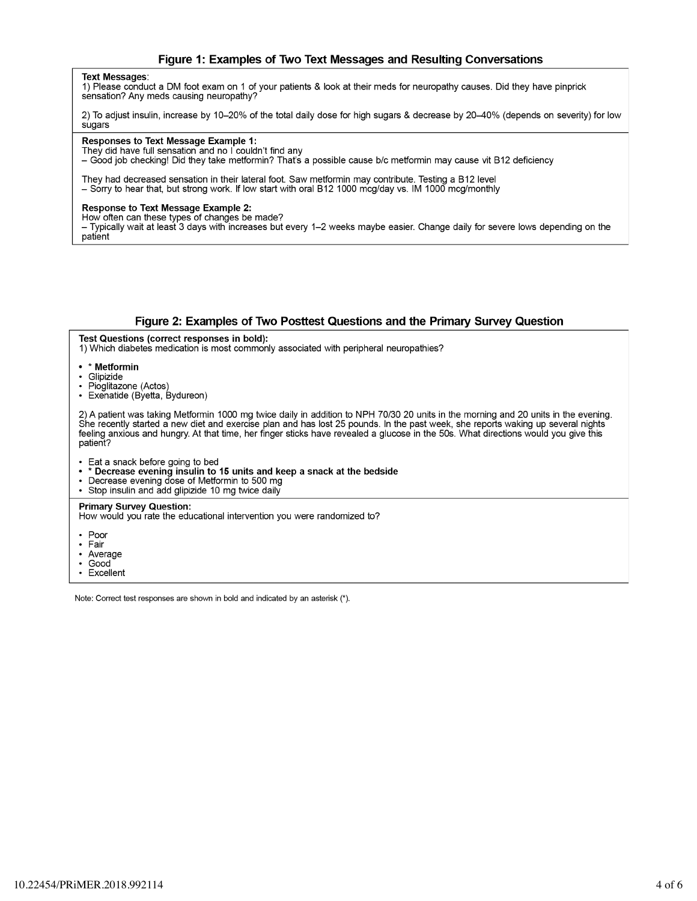### Figure 1: Examples of Two Text Messages and Resulting Conversations

#### **Text Messages:**

1) Please conduct a DM foot exam on 1 of your patients & look at their meds for neuropathy causes. Did they have pinprick sensation? Any meds causing neuropathy?

2) To adjust insulin, increase by 10-20% of the total daily dose for high sugars & decrease by 20-40% (depends on severity) for low sugars

#### Responses to Text Message Example 1:

They did have full sensation and no I couldn't find any

- Good job checking! Did they take metformin? That's a possible cause b/c metformin may cause vit B12 deficiency

They had decreased sensation in their lateral foot. Saw metformin may contribute. Testing a B12 level - Sorry to hear that, but strong work. If low start with oral B12 1000 mcg/day vs. IM 1000 mcg/monthly

#### **Response to Text Message Example 2:**

How often can these types of changes be made?

– Typically wait at least 3 days with increases but every 1–2 weeks maybe easier. Change daily for severe lows depending on the patient

#### Figure 2: Examples of Two Posttest Questions and the Primary Survey Question

Test Questions (correct responses in bold):

1) Which diabetes medication is most commonly associated with peripheral neuropathies?

- \* Metformin
- · Glipizide
- Pioglitazone (Actos)
- Exenatide (Byetta, Bydureon)

2) A patient was taking Metformin 1000 mg twice daily in addition to NPH 70/30 20 units in the morning and 20 units in the evening. She recently started a new diet and exercise plan and has lost 25 pounds. In the past week, she reports waking up several nights feeling anxious and hungry. At that time, her finger sticks have revealed a glucose in the 50s. What directions would you give this natient?

- Eat a snack before going to bed<br>• \* Decrease evening insulin to 15 units and keep a snack at the bedside
- Decrease evening dose of Metformin to 500 mg
- Stop insulin and add glipizide 10 mg twice daily

#### **Primary Survey Question:**

How would you rate the educational intervention you were randomized to?

- $\cdot$  Poor
- $\cdot$  Fair
- Average
- Good
- Excellent

Note: Correct test responses are shown in bold and indicated by an asterisk (\*).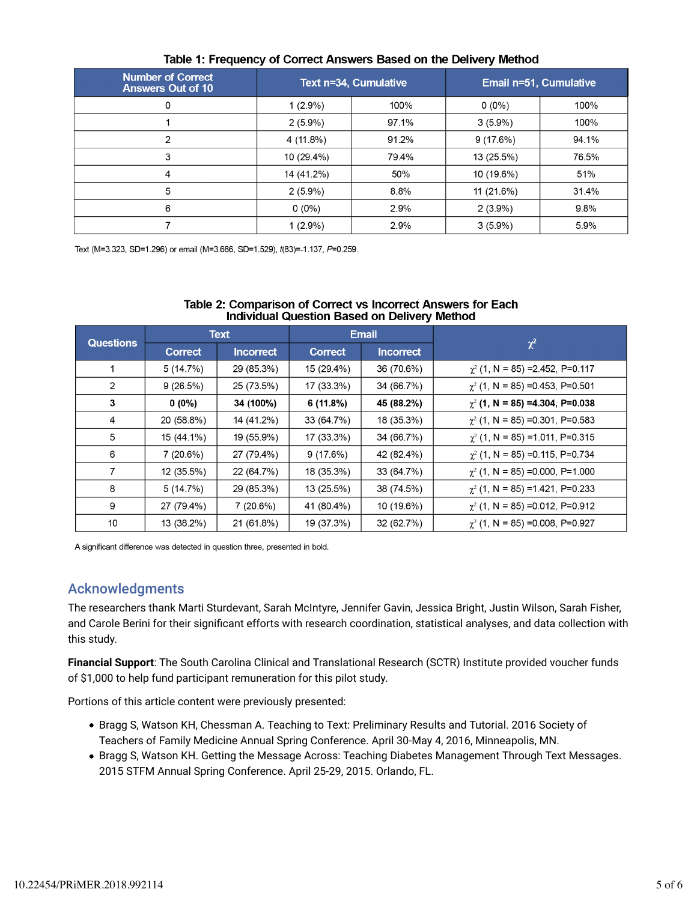| <b>Number of Correct</b><br><b>Answers Out of 10</b> |            | Text n=34, Cumulative | Email n=51, Cumulative |       |  |  |  |  |
|------------------------------------------------------|------------|-----------------------|------------------------|-------|--|--|--|--|
| 0                                                    | $1(2.9\%)$ | 100%                  | $0(0\%)$               | 100%  |  |  |  |  |
|                                                      | $2(5.9\%)$ | 97.1%                 | $3(5.9\%)$             | 100%  |  |  |  |  |
| 2                                                    | 4 (11.8%)  | 91.2%                 | 9(17.6%)               | 94.1% |  |  |  |  |
| 3                                                    | 10 (29.4%) | 79.4%                 | 13 (25.5%)             | 76.5% |  |  |  |  |
| 4                                                    | 14 (41.2%) | 50%                   | 10 (19.6%)             | 51%   |  |  |  |  |
| 5                                                    | $2(5.9\%)$ | 8.8%                  | 11 (21.6%)             | 31.4% |  |  |  |  |
| 6                                                    | $0(0\%)$   | 2.9%                  | $2(3.9\%)$             | 9.8%  |  |  |  |  |
|                                                      | $1(2.9\%)$ | 2.9%                  | $3(5.9\%)$             | 5.9%  |  |  |  |  |

## Table 1: Frequency of Correct Answers Based on the Delivery Method

Text (M=3.323, SD=1.296) or email (M=3.686, SD=1.529), t(83)=-1.137, P=0.259.

| <b>Questions</b> | <b>Text</b>    |                  | -<br><b>Email</b> |                  |                                        |
|------------------|----------------|------------------|-------------------|------------------|----------------------------------------|
|                  | <b>Correct</b> | <b>Incorrect</b> | <b>Correct</b>    | <b>Incorrect</b> | $\chi^2$                               |
|                  | 5 (14.7%)      | 29 (85.3%)       | 15 (29.4%)        | 36 (70.6%)       | $\chi^2$ (1, N = 85) = 2.452, P= 0.117 |
| 2                | 9(26.5%)       | 25 (73.5%)       | 17 (33.3%)        | 34 (66.7%)       | $\chi^2$ (1, N = 85) = 0.453, P= 0.501 |
| 3                | 0 (0%)         | 34 (100%)        | 6 (11.8%)         | 45 (88.2%)       | $\chi^2$ (1, N = 85) =4.304, P=0.038   |
| 4                | 20 (58.8%)     | 14 (41.2%)       | 33 (64.7%)        | 18 (35.3%)       | $\chi^2$ (1, N = 85) = 0.301, P= 0.583 |
| 5                | 15 (44.1%)     | 19 (55.9%)       | 17 (33.3%)        | 34 (66.7%)       | $\chi^2$ (1, N = 85) = 1.011, P=0.315  |
| 6                | 7 (20.6%)      | 27 (79.4%)       | 9(17.6%)          | 42 (82.4%)       | $\chi^2$ (1, N = 85) = 0.115, P= 0.734 |
| $\overline{7}$   | 12 (35.5%)     | 22 (64.7%)       | 18 (35.3%)        | 33 (64.7%)       | $\chi^2$ (1, N = 85) = 0.000, P= 1.000 |
| 8                | 5(14.7%)       | 29 (85.3%)       | 13 (25.5%)        | 38 (74.5%)       | $\chi^2$ (1, N = 85) = 1.421, P=0.233  |
| 9                | 27 (79.4%)     | 7 (20.6%)        | 41 (80.4%)        | 10 (19.6%)       | $\chi^2$ (1, N = 85) = 0.012, P= 0.912 |
| 10               | 13 (38.2%)     | 21 (61.8%)       | 19 (37.3%)        | 32 (62.7%)       | $\chi^2$ (1, N = 85) = 0.008, P= 0.927 |

### Table 2: Comparison of Correct vs Incorrect Answers for Each **Individual Question Based on Delivery Method**

A significant difference was detected in question three, presented in bold.

## Acknowledgments

The researchers thank Marti Sturdevant, Sarah McIntyre, Jennifer Gavin, Jessica Bright, Justin Wilson, Sarah Fisher, and Carole Berini for their significant efforts with research coordination, statistical analyses, and data collection with this study.

**Financial Support**: The South Carolina Clinical and Translational Research (SCTR) Institute provided voucher funds of \$1,000 to help fund participant remuneration for this pilot study.

Portions of this article content were previously presented:

- Bragg S, Watson KH, Chessman A. Teaching to Text: Preliminary Results and Tutorial. 2016 Society of Teachers of Family Medicine Annual Spring Conference. April 30-May 4, 2016, Minneapolis, MN.
- Bragg S, Watson KH. Getting the Message Across: Teaching Diabetes Management Through Text Messages. 2015 STFM Annual Spring Conference. April 25-29, 2015. Orlando, FL.